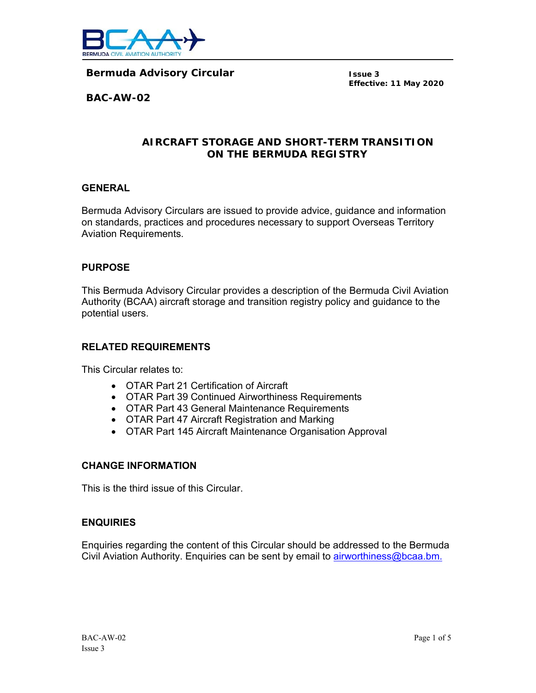

**Bermuda Advisory Circular** 

**Issue 3 Effective: 11 May 2020** 

**BAC-AW-02** 

#### **AIRCRAFT STORAGE AND SHORT-TERM TRANSITION ON THE BERMUDA REGISTRY**

#### **GENERAL**

Bermuda Advisory Circulars are issued to provide advice, guidance and information on standards, practices and procedures necessary to support Overseas Territory Aviation Requirements.

#### **PURPOSE**

This Bermuda Advisory Circular provides a description of the Bermuda Civil Aviation Authority (BCAA) aircraft storage and transition registry policy and guidance to the potential users.

#### **RELATED REQUIREMENTS**

This Circular relates to:

- OTAR Part 21 Certification of Aircraft
- OTAR Part 39 Continued Airworthiness Requirements
- OTAR Part 43 General Maintenance Requirements
- OTAR Part 47 Aircraft Registration and Marking
- OTAR Part 145 Aircraft Maintenance Organisation Approval

#### **CHANGE INFORMATION**

This is the third issue of this Circular.

#### **ENQUIRIES**

Enquiries regarding the content of this Circular should be addressed to the Bermuda Civil Aviation Authority. Enquiries can be sent by email to airworthiness@bcaa.bm.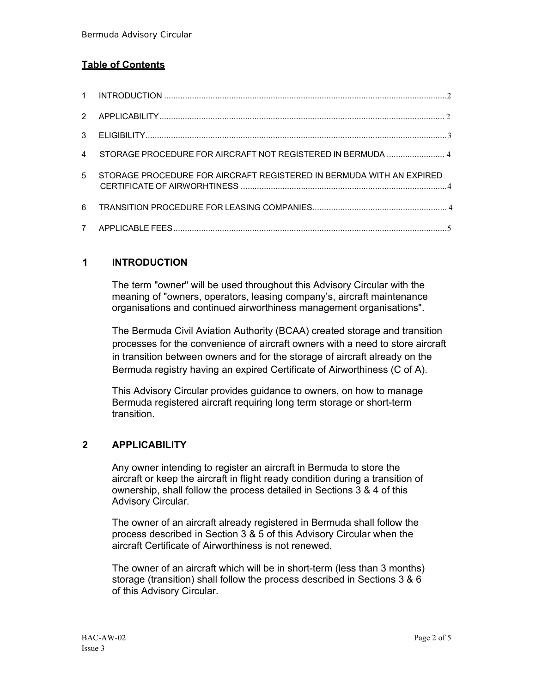# **Table of Contents**

| $\mathbf{1}$   |                                                                      |  |
|----------------|----------------------------------------------------------------------|--|
| 2              |                                                                      |  |
| 3              |                                                                      |  |
| $\overline{4}$ | STORAGE PROCEDURE FOR AIRCRAFT NOT REGISTERED IN BERMUDA  4          |  |
| $\overline{5}$ | STORAGE PROCEDURE FOR AIRCRAFT REGISTERED IN BERMUDA WITH AN EXPIRED |  |
| 6              |                                                                      |  |
| $\overline{7}$ |                                                                      |  |

### **1 INTRODUCTION**

The term "owner" will be used throughout this Advisory Circular with the meaning of "owners, operators, leasing company's, aircraft maintenance organisations and continued airworthiness management organisations".

The Bermuda Civil Aviation Authority (BCAA) created storage and transition processes for the convenience of aircraft owners with a need to store aircraft in transition between owners and for the storage of aircraft already on the Bermuda registry having an expired Certificate of Airworthiness (C of A).

This Advisory Circular provides guidance to owners, on how to manage Bermuda registered aircraft requiring long term storage or short-term transition.

### **2 APPLICABILITY**

Any owner intending to register an aircraft in Bermuda to store the aircraft or keep the aircraft in flight ready condition during a transition of ownership, shall follow the process detailed in Sections 3 & 4 of this Advisory Circular.

The owner of an aircraft already registered in Bermuda shall follow the process described in Section 3 & 5 of this Advisory Circular when the aircraft Certificate of Airworthiness is not renewed.

The owner of an aircraft which will be in short-term (less than 3 months) storage (transition) shall follow the process described in Sections 3 & 6 of this Advisory Circular.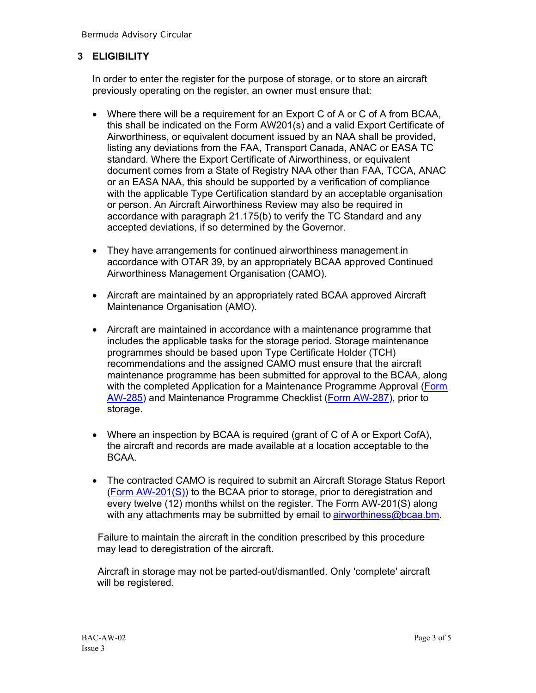Bermuda Advisory Circular

### **3 ELIGIBILITY**

In order to enter the register for the purpose of storage, or to store an aircraft previously operating on the register, an owner must ensure that:

- Where there will be a requirement for an Export C of A or C of A from BCAA, this shall be indicated on the Form AW201(s) and a valid Export Certificate of Airworthiness, or equivalent document issued by an NAA shall be provided, listing any deviations from the FAA, Transport Canada, ANAC or EASA TC standard. Where the Export Certificate of Airworthiness, or equivalent document comes from a State of Registry NAA other than FAA, TCCA, ANAC or an EASA NAA, this should be supported by a verification of compliance with the applicable Type Certification standard by an acceptable organisation or person. An Aircraft Airworthiness Review may also be required in accordance with paragraph 21.175(b) to verify the TC Standard and any accepted deviations, if so determined by the Governor.
- They have arrangements for continued airworthiness management in accordance with OTAR 39, by an appropriately BCAA approved Continued Airworthiness Management Organisation (CAMO).
- Aircraft are maintained by an appropriately rated BCAA approved Aircraft Maintenance Organisation (AMO).
- Aircraft are maintained in accordance with a maintenance programme that includes the applicable tasks for the storage period. Storage maintenance programmes should be based upon Type Certificate Holder (TCH) recommendations and the assigned CAMO must ensure that the aircraft maintenance programme has been submitted for approval to the BCAA, along with the completed Application for a Maintenance Programme Approval (Form AW-285) and Maintenance Programme Checklist (Form AW-287), prior to storage.
- Where an inspection by BCAA is required (grant of C of A or Export CofA), the aircraft and records are made available at a location acceptable to the BCAA.
- The contracted CAMO is required to submit an Aircraft Storage Status Report (Form AW-201(S)) to the BCAA prior to storage, prior to deregistration and every twelve (12) months whilst on the register. The Form AW-201(S) along with any attachments may be submitted by email to airworthiness@bcaa.bm.

Failure to maintain the aircraft in the condition prescribed by this procedure may lead to deregistration of the aircraft.

Aircraft in storage may not be parted-out/dismantled. Only 'complete' aircraft will be registered.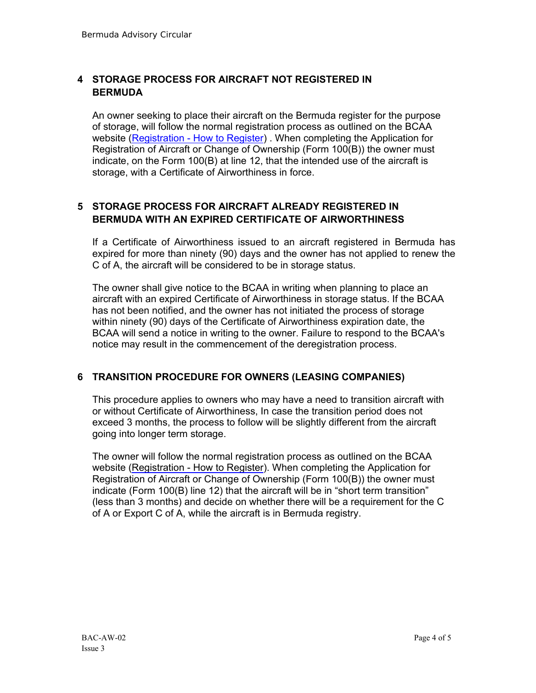## **4 STORAGE PROCESS FOR AIRCRAFT NOT REGISTERED IN BERMUDA**

An owner seeking to place their aircraft on the Bermuda register for the purpose of storage, will follow the normal registration process as outlined on the BCAA website (Registration - How to Register) . When completing the Application for Registration of Aircraft or Change of Ownership (Form 100(B)) the owner must indicate, on the Form 100(B) at line 12, that the intended use of the aircraft is storage, with a Certificate of Airworthiness in force.

## **5 STORAGE PROCESS FOR AIRCRAFT ALREADY REGISTERED IN BERMUDA WITH AN EXPIRED CERTIFICATE OF AIRWORTHINESS**

If a Certificate of Airworthiness issued to an aircraft registered in Bermuda has expired for more than ninety (90) days and the owner has not applied to renew the C of A, the aircraft will be considered to be in storage status.

The owner shall give notice to the BCAA in writing when planning to place an aircraft with an expired Certificate of Airworthiness in storage status. If the BCAA has not been notified, and the owner has not initiated the process of storage within ninety (90) days of the Certificate of Airworthiness expiration date, the BCAA will send a notice in writing to the owner. Failure to respond to the BCAA's notice may result in the commencement of the deregistration process.

### **6 TRANSITION PROCEDURE FOR OWNERS (LEASING COMPANIES)**

This procedure applies to owners who may have a need to transition aircraft with or without Certificate of Airworthiness, In case the transition period does not exceed 3 months, the process to follow will be slightly different from the aircraft going into longer term storage.

The owner will follow the normal registration process as outlined on the BCAA website (Registration - How to Register). When completing the Application for Registration of Aircraft or Change of Ownership (Form 100(B)) the owner must indicate (Form 100(B) line 12) that the aircraft will be in "short term transition" (less than 3 months) and decide on whether there will be a requirement for the C of A or Export C of A, while the aircraft is in Bermuda registry.